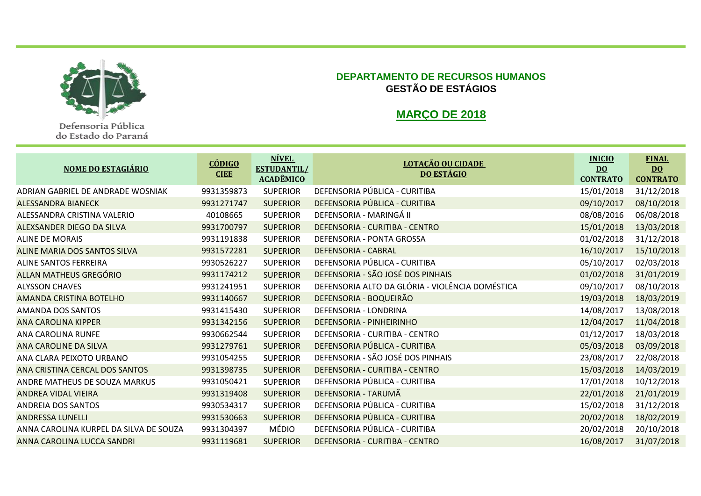

Defensoria Pública do Estado do Paraná

## **DEPARTAMENTO DE RECURSOS HUMANOS GESTÃO DE ESTÁGIOS**

## **MARÇO DE 2018**

| <b>NOME DO ESTAGIÁRIO</b>              | <b>CÓDIGO</b><br><b>CIEE</b> | <b>NÍVEL</b><br><b>ESTUDANTIL/</b><br><b>ACADÊMICO</b> | <b>LOTAÇÃO OU CIDADE</b><br><b>DO ESTÁGIO</b>   | <b>INICIO</b><br>$\underline{DO}$<br><b>CONTRATO</b> | <b>FINAL</b><br>$\underline{DO}$<br><b>CONTRATO</b> |
|----------------------------------------|------------------------------|--------------------------------------------------------|-------------------------------------------------|------------------------------------------------------|-----------------------------------------------------|
| ADRIAN GABRIEL DE ANDRADE WOSNIAK      | 9931359873                   | <b>SUPERIOR</b>                                        | DEFENSORIA PÚBLICA - CURITIBA                   | 15/01/2018                                           | 31/12/2018                                          |
| <b>ALESSANDRA BIANECK</b>              | 9931271747                   | <b>SUPERIOR</b>                                        | DEFENSORIA PÚBLICA - CURITIBA                   | 09/10/2017                                           | 08/10/2018                                          |
| ALESSANDRA CRISTINA VALERIO            | 40108665                     | <b>SUPERIOR</b>                                        | DEFENSORIA - MARINGÁ II                         | 08/08/2016                                           | 06/08/2018                                          |
| ALEXSANDER DIEGO DA SILVA              | 9931700797                   | <b>SUPERIOR</b>                                        | DEFENSORIA - CURITIBA - CENTRO                  | 15/01/2018                                           | 13/03/2018                                          |
| <b>ALINE DE MORAIS</b>                 | 9931191838                   | <b>SUPERIOR</b>                                        | DEFENSORIA - PONTA GROSSA                       | 01/02/2018                                           | 31/12/2018                                          |
| ALINE MARIA DOS SANTOS SILVA           | 9931572281                   | <b>SUPERIOR</b>                                        | <b>DEFENSORIA - CABRAL</b>                      | 16/10/2017                                           | 15/10/2018                                          |
| ALINE SANTOS FERREIRA                  | 9930526227                   | <b>SUPERIOR</b>                                        | DEFENSORIA PÚBLICA - CURITIBA                   | 05/10/2017                                           | 02/03/2018                                          |
| ALLAN MATHEUS GREGÓRIO                 | 9931174212                   | <b>SUPERIOR</b>                                        | DEFENSORIA - SÃO JOSÉ DOS PINHAIS               | 01/02/2018                                           | 31/01/2019                                          |
| <b>ALYSSON CHAVES</b>                  | 9931241951                   | <b>SUPERIOR</b>                                        | DEFENSORIA ALTO DA GLÓRIA - VIOLÊNCIA DOMÉSTICA | 09/10/2017                                           | 08/10/2018                                          |
| AMANDA CRISTINA BOTELHO                | 9931140667                   | <b>SUPERIOR</b>                                        | DEFENSORIA - BOQUEIRÃO                          | 19/03/2018                                           | 18/03/2019                                          |
| AMANDA DOS SANTOS                      | 9931415430                   | <b>SUPERIOR</b>                                        | DEFENSORIA - LONDRINA                           | 14/08/2017                                           | 13/08/2018                                          |
| <b>ANA CAROLINA KIPPER</b>             | 9931342156                   | <b>SUPERIOR</b>                                        | DEFENSORIA - PINHEIRINHO                        | 12/04/2017                                           | 11/04/2018                                          |
| ANA CAROLINA RUNFE                     | 9930662544                   | <b>SUPERIOR</b>                                        | DEFENSORIA - CURITIBA - CENTRO                  | 01/12/2017                                           | 18/03/2018                                          |
| <b>ANA CAROLINE DA SILVA</b>           | 9931279761                   | <b>SUPERIOR</b>                                        | DEFENSORIA PÚBLICA - CURITIBA                   | 05/03/2018                                           | 03/09/2018                                          |
| ANA CLARA PEIXOTO URBANO               | 9931054255                   | <b>SUPERIOR</b>                                        | DEFENSORIA - SÃO JOSÉ DOS PINHAIS               | 23/08/2017                                           | 22/08/2018                                          |
| ANA CRISTINA CERCAL DOS SANTOS         | 9931398735                   | <b>SUPERIOR</b>                                        | DEFENSORIA - CURITIBA - CENTRO                  | 15/03/2018                                           | 14/03/2019                                          |
| ANDRE MATHEUS DE SOUZA MARKUS          | 9931050421                   | <b>SUPERIOR</b>                                        | DEFENSORIA PÚBLICA - CURITIBA                   | 17/01/2018                                           | 10/12/2018                                          |
| ANDREA VIDAL VIEIRA                    | 9931319408                   | <b>SUPERIOR</b>                                        | DEFENSORIA - TARUMÃ                             | 22/01/2018                                           | 21/01/2019                                          |
| ANDREIA DOS SANTOS                     | 9930534317                   | <b>SUPERIOR</b>                                        | DEFENSORIA PÚBLICA - CURITIBA                   | 15/02/2018                                           | 31/12/2018                                          |
| <b>ANDRESSA LUNELLI</b>                | 9931530663                   | <b>SUPERIOR</b>                                        | DEFENSORIA PÚBLICA - CURITIBA                   | 20/02/2018                                           | 18/02/2019                                          |
| ANNA CAROLINA KURPEL DA SILVA DE SOUZA | 9931304397                   | <b>MÉDIO</b>                                           | DEFENSORIA PÚBLICA - CURITIBA                   | 20/02/2018                                           | 20/10/2018                                          |
| ANNA CAROLINA LUCCA SANDRI             | 9931119681                   | <b>SUPERIOR</b>                                        | DEFENSORIA - CURITIBA - CENTRO                  | 16/08/2017                                           | 31/07/2018                                          |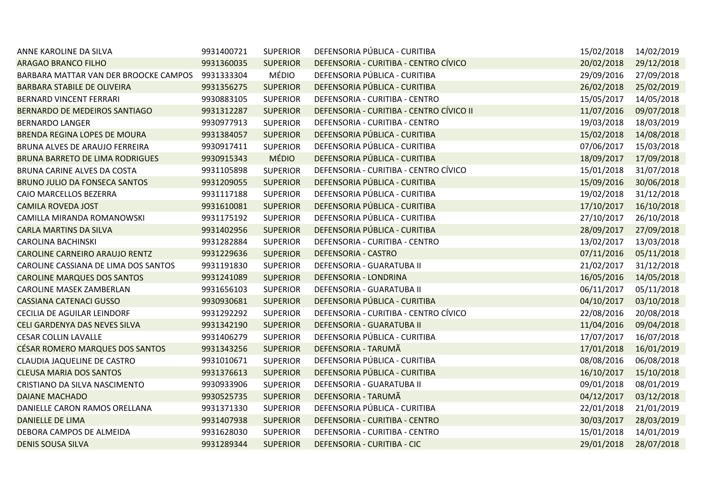| ANNE KAROLINE DA SILVA                 | 9931400721 | <b>SUPERIOR</b> | DEFENSORIA PÚBLICA - CURITIBA            | 15/02/2018 | 14/02/2019 |
|----------------------------------------|------------|-----------------|------------------------------------------|------------|------------|
| <b>ARAGAO BRANCO FILHO</b>             | 9931360035 | <b>SUPERIOR</b> | DEFENSORIA - CURITIBA - CENTRO CÍVICO    | 20/02/2018 | 29/12/2018 |
| BARBARA MATTAR VAN DER BROOCKE CAMPOS  | 9931333304 | <b>MÉDIO</b>    | DEFENSORIA PÚBLICA - CURITIBA            | 29/09/2016 | 27/09/2018 |
| BARBARA STABILE DE OLIVEIRA            | 9931356275 | <b>SUPERIOR</b> | DEFENSORIA PÚBLICA - CURITIBA            | 26/02/2018 | 25/02/2019 |
| BERNARD VINCENT FERRARI                | 9930883105 | <b>SUPERIOR</b> | DEFENSORIA - CURITIBA - CENTRO           | 15/05/2017 | 14/05/2018 |
| BERNARDO DE MEDEIROS SANTIAGO          | 9931312287 | <b>SUPERIOR</b> | DEFENSORIA - CURITIBA - CENTRO CÍVICO II | 11/07/2016 | 09/07/2018 |
| <b>BERNARDO LANGER</b>                 | 9930977913 | <b>SUPERIOR</b> | DEFENSORIA - CURITIBA - CENTRO           | 19/03/2018 | 18/03/2019 |
| BRENDA REGINA LOPES DE MOURA           | 9931384057 | <b>SUPERIOR</b> | DEFENSORIA PÚBLICA - CURITIBA            | 15/02/2018 | 14/08/2018 |
| BRUNA ALVES DE ARAUJO FERREIRA         | 9930917411 | <b>SUPERIOR</b> | DEFENSORIA PÚBLICA - CURITIBA            | 07/06/2017 | 15/03/2018 |
| <b>BRUNA BARRETO DE LIMA RODRIGUES</b> | 9930915343 | <b>MÉDIO</b>    | DEFENSORIA PÚBLICA - CURITIBA            | 18/09/2017 | 17/09/2018 |
| BRUNA CARINE ALVES DA COSTA            | 9931105898 | <b>SUPERIOR</b> | DEFENSORIA - CURITIBA - CENTRO CÍVICO    | 15/01/2018 | 31/07/2018 |
| <b>BRUNO JULIO DA FONSECA SANTOS</b>   | 9931209055 | <b>SUPERIOR</b> | DEFENSORIA PÚBLICA - CURITIBA            | 15/09/2016 | 30/06/2018 |
| CAIO MARCELLOS BEZERRA                 | 9931117188 | <b>SUPERIOR</b> | DEFENSORIA PÚBLICA - CURITIBA            | 19/02/2018 | 31/12/2018 |
| <b>CAMILA ROVEDA JOST</b>              | 9931610081 | <b>SUPERIOR</b> | DEFENSORIA PÚBLICA - CURITIBA            | 17/10/2017 | 16/10/2018 |
| CAMILLA MIRANDA ROMANOWSKI             | 9931175192 | <b>SUPERIOR</b> | DEFENSORIA PÚBLICA - CURITIBA            | 27/10/2017 | 26/10/2018 |
| <b>CARLA MARTINS DA SILVA</b>          | 9931402956 | <b>SUPERIOR</b> | DEFENSORIA PÚBLICA - CURITIBA            | 28/09/2017 | 27/09/2018 |
| <b>CAROLINA BACHINSKI</b>              | 9931282884 | <b>SUPERIOR</b> | DEFENSORIA - CURITIBA - CENTRO           | 13/02/2017 | 13/03/2018 |
| CAROLINE CARNEIRO ARAUJO RENTZ         | 9931229636 | <b>SUPERIOR</b> | <b>DEFENSORIA - CASTRO</b>               | 07/11/2016 | 05/11/2018 |
| CAROLINE CASSIANA DE LIMA DOS SANTOS   | 9931191830 | <b>SUPERIOR</b> | DEFENSORIA - GUARATUBA II                | 21/02/2017 | 31/12/2018 |
| <b>CAROLINE MARQUES DOS SANTOS</b>     | 9931241089 | <b>SUPERIOR</b> | DEFENSORIA - LONDRINA                    | 16/05/2016 | 14/05/2018 |
| CAROLINE MASEK ZAMBERLAN               | 9931656103 | <b>SUPERIOR</b> | DEFENSORIA - GUARATUBA II                | 06/11/2017 | 05/11/2018 |
| <b>CASSIANA CATENACI GUSSO</b>         | 9930930681 | <b>SUPERIOR</b> | DEFENSORIA PÚBLICA - CURITIBA            | 04/10/2017 | 03/10/2018 |
| CECILIA DE AGUILAR LEINDORF            | 9931292292 | <b>SUPERIOR</b> | DEFENSORIA - CURITIBA - CENTRO CÍVICO    | 22/08/2016 | 20/08/2018 |
| CELI GARDENYA DAS NEVES SILVA          | 9931342190 | <b>SUPERIOR</b> | DEFENSORIA - GUARATUBA II                | 11/04/2016 | 09/04/2018 |
| <b>CESAR COLLIN LAVALLE</b>            | 9931406279 | <b>SUPERIOR</b> | DEFENSORIA PÚBLICA - CURITIBA            | 17/07/2017 | 16/07/2018 |
| CÉSAR ROMERO MARQUES DOS SANTOS        | 9931343256 | <b>SUPERIOR</b> | DEFENSORIA - TARUMÃ                      | 17/01/2018 | 16/01/2019 |
| CLAUDIA JAQUELINE DE CASTRO            | 9931010671 | <b>SUPERIOR</b> | DEFENSORIA PÚBLICA - CURITIBA            | 08/08/2016 | 06/08/2018 |
| <b>CLEUSA MARIA DOS SANTOS</b>         | 9931376613 | <b>SUPERIOR</b> | DEFENSORIA PÚBLICA - CURITIBA            | 16/10/2017 | 15/10/2018 |
| CRISTIANO DA SILVA NASCIMENTO          | 9930933906 | <b>SUPERIOR</b> | DEFENSORIA - GUARATUBA II                | 09/01/2018 | 08/01/2019 |
| <b>DAIANE MACHADO</b>                  | 9930525735 | <b>SUPERIOR</b> | DEFENSORIA - TARUMÃ                      | 04/12/2017 | 03/12/2018 |
| DANIELLE CARON RAMOS ORELLANA          | 9931371330 | <b>SUPERIOR</b> | DEFENSORIA PÚBLICA - CURITIBA            | 22/01/2018 | 21/01/2019 |
| <b>DANIELLE DE LIMA</b>                | 9931407938 | <b>SUPERIOR</b> | DEFENSORIA - CURITIBA - CENTRO           | 30/03/2017 | 28/03/2019 |
| DEBORA CAMPOS DE ALMEIDA               | 9931628030 | <b>SUPERIOR</b> | DEFENSORIA - CURITIBA - CENTRO           | 15/01/2018 | 14/01/2019 |
| <b>DENIS SOUSA SILVA</b>               | 9931289344 | <b>SUPERIOR</b> | DEFENSORIA - CURITIBA - CIC              | 29/01/2018 | 28/07/2018 |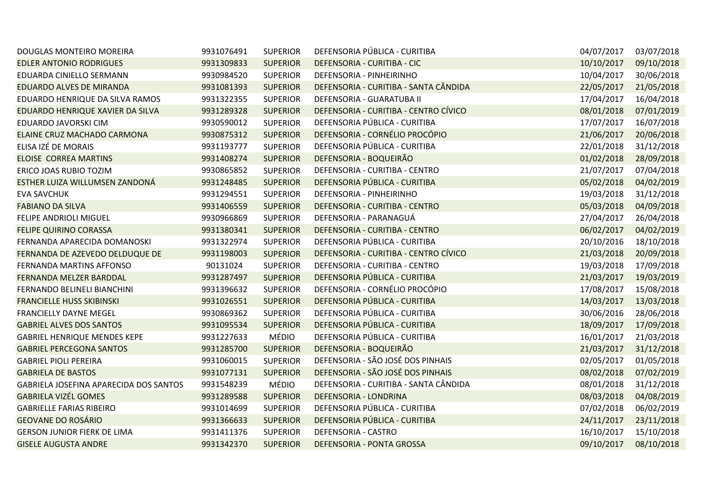| DOUGLAS MONTEIRO MOREIRA               | 9931076491 | <b>SUPERIOR</b> | DEFENSORIA PÚBLICA - CURITIBA         | 04/07/2017 | 03/07/2018 |
|----------------------------------------|------------|-----------------|---------------------------------------|------------|------------|
| <b>EDLER ANTONIO RODRIGUES</b>         | 9931309833 | <b>SUPERIOR</b> | DEFENSORIA - CURITIBA - CIC           | 10/10/2017 | 09/10/2018 |
| EDUARDA CINIELLO SERMANN               | 9930984520 | <b>SUPERIOR</b> | DEFENSORIA - PINHEIRINHO              | 10/04/2017 | 30/06/2018 |
| EDUARDO ALVES DE MIRANDA               | 9931081393 | <b>SUPERIOR</b> | DEFENSORIA - CURITIBA - SANTA CÂNDIDA | 22/05/2017 | 21/05/2018 |
| EDUARDO HENRIQUE DA SILVA RAMOS        | 9931322355 | <b>SUPERIOR</b> | DEFENSORIA - GUARATUBA II             | 17/04/2017 | 16/04/2018 |
| EDUARDO HENRIQUE XAVIER DA SILVA       | 9931289328 | <b>SUPERIOR</b> | DEFENSORIA - CURITIBA - CENTRO CÍVICO | 08/01/2018 | 07/01/2019 |
| EDUARDO JAVORSKI CIM                   | 9930590012 | <b>SUPERIOR</b> | DEFENSORIA PÚBLICA - CURITIBA         | 17/07/2017 | 16/07/2018 |
| ELAINE CRUZ MACHADO CARMONA            | 9930875312 | <b>SUPERIOR</b> | DEFENSORIA - CORNÉLIO PROCÓPIO        | 21/06/2017 | 20/06/2018 |
| ELISA IZÉ DE MORAIS                    | 9931193777 | <b>SUPERIOR</b> | DEFENSORIA PÚBLICA - CURITIBA         | 22/01/2018 | 31/12/2018 |
| <b>ELOISE CORREA MARTINS</b>           | 9931408274 | <b>SUPERIOR</b> | DEFENSORIA - BOQUEIRÃO                | 01/02/2018 | 28/09/2018 |
| ERICO JOAS RUBIO TOZIM                 | 9930865852 | <b>SUPERIOR</b> | DEFENSORIA - CURITIBA - CENTRO        | 21/07/2017 | 07/04/2018 |
| ESTHER LUIZA WILLUMSEN ZANDONÁ         | 9931248485 | <b>SUPERIOR</b> | DEFENSORIA PÚBLICA - CURITIBA         | 05/02/2018 | 04/02/2019 |
| <b>EVA SAVCHUK</b>                     | 9931294551 | <b>SUPERIOR</b> | DEFENSORIA - PINHEIRINHO              | 19/03/2018 | 31/12/2018 |
| <b>FABIANO DA SILVA</b>                | 9931406559 | <b>SUPERIOR</b> | DEFENSORIA - CURITIBA - CENTRO        | 05/03/2018 | 04/09/2018 |
| FELIPE ANDRIOLI MIGUEL                 | 9930966869 | <b>SUPERIOR</b> | DEFENSORIA - PARANAGUÁ                | 27/04/2017 | 26/04/2018 |
| <b>FELIPE QUIRINO CORASSA</b>          | 9931380341 | <b>SUPERIOR</b> | DEFENSORIA - CURITIBA - CENTRO        | 06/02/2017 | 04/02/2019 |
| FERNANDA APARECIDA DOMANOSKI           | 9931322974 | <b>SUPERIOR</b> | DEFENSORIA PÚBLICA - CURITIBA         | 20/10/2016 | 18/10/2018 |
| FERNANDA DE AZEVEDO DELDUQUE DE        | 9931198003 | <b>SUPERIOR</b> | DEFENSORIA - CURITIBA - CENTRO CÍVICO | 21/03/2018 | 20/09/2018 |
| FERNANDA MARTINS AFFONSO               | 90131024   | <b>SUPERIOR</b> | DEFENSORIA - CURITIBA - CENTRO        | 19/03/2018 | 17/09/2018 |
| FERNANDA MELZER BARDDAL                | 9931287497 | <b>SUPERIOR</b> | DEFENSORIA PÚBLICA - CURITIBA         | 21/03/2017 | 19/03/2019 |
| FERNANDO BELINELI BIANCHINI            | 9931396632 | <b>SUPERIOR</b> | DEFENSORIA - CORNÉLIO PROCÓPIO        | 17/08/2017 | 15/08/2018 |
| <b>FRANCIELLE HUSS SKIBINSKI</b>       | 9931026551 | <b>SUPERIOR</b> | DEFENSORIA PÚBLICA - CURITIBA         | 14/03/2017 | 13/03/2018 |
| <b>FRANCIELLY DAYNE MEGEL</b>          | 9930869362 | <b>SUPERIOR</b> | DEFENSORIA PÚBLICA - CURITIBA         | 30/06/2016 | 28/06/2018 |
| <b>GABRIEL ALVES DOS SANTOS</b>        | 9931095534 | <b>SUPERIOR</b> | DEFENSORIA PÚBLICA - CURITIBA         | 18/09/2017 | 17/09/2018 |
| GABRIEL HENRIQUE MENDES KEPE           | 9931227633 | MÉDIO           | DEFENSORIA PÚBLICA - CURITIBA         | 16/01/2017 | 21/03/2018 |
| <b>GABRIEL PERCEGONA SANTOS</b>        | 9931285700 | <b>SUPERIOR</b> | DEFENSORIA - BOQUEIRÃO                | 21/03/2017 | 31/12/2018 |
| <b>GABRIEL PIOLI PEREIRA</b>           | 9931060015 | <b>SUPERIOR</b> | DEFENSORIA - SÃO JOSÉ DOS PINHAIS     | 02/05/2017 | 01/05/2018 |
| <b>GABRIELA DE BASTOS</b>              | 9931077131 | <b>SUPERIOR</b> | DEFENSORIA - SÃO JOSÉ DOS PINHAIS     | 08/02/2018 | 07/02/2019 |
| GABRIELA JOSEFINA APARECIDA DOS SANTOS | 9931548239 | MÉDIO           | DEFENSORIA - CURITIBA - SANTA CÂNDIDA | 08/01/2018 | 31/12/2018 |
| <b>GABRIELA VIZÉL GOMES</b>            | 9931289588 | <b>SUPERIOR</b> | DEFENSORIA - LONDRINA                 | 08/03/2018 | 04/08/2019 |
| <b>GABRIELLE FARIAS RIBEIRO</b>        | 9931014699 | <b>SUPERIOR</b> | DEFENSORIA PÚBLICA - CURITIBA         | 07/02/2018 | 06/02/2019 |
| <b>GEOVANE DO ROSÁRIO</b>              | 9931366633 | <b>SUPERIOR</b> | DEFENSORIA PÚBLICA - CURITIBA         | 24/11/2017 | 23/11/2018 |
| <b>GERSON JUNIOR FIERK DE LIMA</b>     | 9931411376 | <b>SUPERIOR</b> | DEFENSORIA - CASTRO                   | 16/10/2017 | 15/10/2018 |
| <b>GISELE AUGUSTA ANDRE</b>            | 9931342370 | <b>SUPERIOR</b> | DEFENSORIA - PONTA GROSSA             | 09/10/2017 | 08/10/2018 |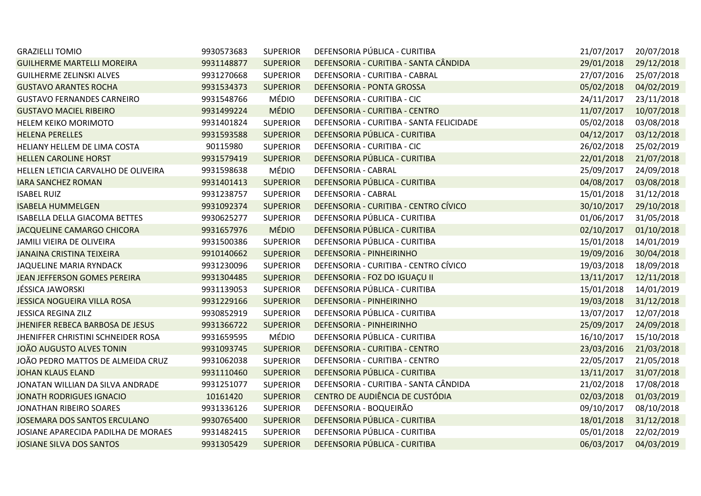| <b>GRAZIELLI TOMIO</b>               | 9930573683 | <b>SUPERIOR</b> | DEFENSORIA PÚBLICA - CURITIBA            | 21/07/2017 | 20/07/2018 |
|--------------------------------------|------------|-----------------|------------------------------------------|------------|------------|
| <b>GUILHERME MARTELLI MOREIRA</b>    | 9931148877 | <b>SUPERIOR</b> | DEFENSORIA - CURITIBA - SANTA CÂNDIDA    | 29/01/2018 | 29/12/2018 |
| <b>GUILHERME ZELINSKI ALVES</b>      | 9931270668 | <b>SUPERIOR</b> | DEFENSORIA - CURITIBA - CABRAL           | 27/07/2016 | 25/07/2018 |
| <b>GUSTAVO ARANTES ROCHA</b>         | 9931534373 | <b>SUPERIOR</b> | DEFENSORIA - PONTA GROSSA                | 05/02/2018 | 04/02/2019 |
| <b>GUSTAVO FERNANDES CARNEIRO</b>    | 9931548766 | MÉDIO           | DEFENSORIA - CURITIBA - CIC              | 24/11/2017 | 23/11/2018 |
| <b>GUSTAVO MACIEL RIBEIRO</b>        | 9931499224 | <b>MÉDIO</b>    | DEFENSORIA - CURITIBA - CENTRO           | 11/07/2017 | 10/07/2018 |
| HELEM KEIKO MORIMOTO                 | 9931401824 | <b>SUPERIOR</b> | DEFENSORIA - CURITIBA - SANTA FELICIDADE | 05/02/2018 | 03/08/2018 |
| <b>HELENA PERELLES</b>               | 9931593588 | <b>SUPERIOR</b> | DEFENSORIA PÚBLICA - CURITIBA            | 04/12/2017 | 03/12/2018 |
| HELIANY HELLEM DE LIMA COSTA         | 90115980   | <b>SUPERIOR</b> | DEFENSORIA - CURITIBA - CIC              | 26/02/2018 | 25/02/2019 |
| <b>HELLEN CAROLINE HORST</b>         | 9931579419 | <b>SUPERIOR</b> | DEFENSORIA PÚBLICA - CURITIBA            | 22/01/2018 | 21/07/2018 |
| HELLEN LETICIA CARVALHO DE OLIVEIRA  | 9931598638 | MÉDIO           | DEFENSORIA - CABRAL                      | 25/09/2017 | 24/09/2018 |
| <b>IARA SANCHEZ ROMAN</b>            | 9931401413 | <b>SUPERIOR</b> | DEFENSORIA PÚBLICA - CURITIBA            | 04/08/2017 | 03/08/2018 |
| <b>ISABEL RUIZ</b>                   | 9931238757 | <b>SUPERIOR</b> | DEFENSORIA - CABRAL                      | 15/01/2018 | 31/12/2018 |
| <b>ISABELA HUMMELGEN</b>             | 9931092374 | <b>SUPERIOR</b> | DEFENSORIA - CURITIBA - CENTRO CÍVICO    | 30/10/2017 | 29/10/2018 |
| <b>ISABELLA DELLA GIACOMA BETTES</b> | 9930625277 | <b>SUPERIOR</b> | DEFENSORIA PÚBLICA - CURITIBA            | 01/06/2017 | 31/05/2018 |
| JACQUELINE CAMARGO CHICORA           | 9931657976 | <b>MÉDIO</b>    | DEFENSORIA PÚBLICA - CURITIBA            | 02/10/2017 | 01/10/2018 |
| JAMILI VIEIRA DE OLIVEIRA            | 9931500386 | <b>SUPERIOR</b> | DEFENSORIA PÚBLICA - CURITIBA            | 15/01/2018 | 14/01/2019 |
| <b>JANAINA CRISTINA TEIXEIRA</b>     | 9910140662 | <b>SUPERIOR</b> | DEFENSORIA - PINHEIRINHO                 | 19/09/2016 | 30/04/2018 |
| JAQUELINE MARIA RYNDACK              | 9931230096 | <b>SUPERIOR</b> | DEFENSORIA - CURITIBA - CENTRO CÍVICO    | 19/03/2018 | 18/09/2018 |
| JEAN JEFFERSON GOMES PEREIRA         | 9931304485 | <b>SUPERIOR</b> | DEFENSORIA - FOZ DO IGUAÇU II            | 13/11/2017 | 12/11/2018 |
| JÉSSICA JAWORSKI                     | 9931139053 | <b>SUPERIOR</b> | DEFENSORIA PÚBLICA - CURITIBA            | 15/01/2018 | 14/01/2019 |
| <b>JESSICA NOGUEIRA VILLA ROSA</b>   | 9931229166 | <b>SUPERIOR</b> | DEFENSORIA - PINHEIRINHO                 | 19/03/2018 | 31/12/2018 |
| <b>JESSICA REGINA ZILZ</b>           | 9930852919 | <b>SUPERIOR</b> | DEFENSORIA PÚBLICA - CURITIBA            | 13/07/2017 | 12/07/2018 |
| JHENIFER REBECA BARBOSA DE JESUS     | 9931366722 | <b>SUPERIOR</b> | DEFENSORIA - PINHEIRINHO                 | 25/09/2017 | 24/09/2018 |
| JHENIFFER CHRISTINI SCHNEIDER ROSA   | 9931659595 | MÉDIO           | DEFENSORIA PÚBLICA - CURITIBA            | 16/10/2017 | 15/10/2018 |
| JOÃO AUGUSTO ALVES TONIN             | 9931093745 | <b>SUPERIOR</b> | DEFENSORIA - CURITIBA - CENTRO           | 23/03/2016 | 21/03/2018 |
| JOÃO PEDRO MATTOS DE ALMEIDA CRUZ    | 9931062038 | <b>SUPERIOR</b> | DEFENSORIA - CURITIBA - CENTRO           | 22/05/2017 | 21/05/2018 |
| <b>JOHAN KLAUS ELAND</b>             | 9931110460 | <b>SUPERIOR</b> | DEFENSORIA PÚBLICA - CURITIBA            | 13/11/2017 | 31/07/2018 |
| JONATAN WILLIAN DA SILVA ANDRADE     | 9931251077 | <b>SUPERIOR</b> | DEFENSORIA - CURITIBA - SANTA CÂNDIDA    | 21/02/2018 | 17/08/2018 |
| <b>JONATH RODRIGUES IGNACIO</b>      | 10161420   | <b>SUPERIOR</b> | CENTRO DE AUDIÊNCIA DE CUSTÓDIA          | 02/03/2018 | 01/03/2019 |
| JONATHAN RIBEIRO SOARES              | 9931336126 | <b>SUPERIOR</b> | DEFENSORIA - BOQUEIRÃO                   | 09/10/2017 | 08/10/2018 |
| JOSEMARA DOS SANTOS ERCULANO         | 9930765400 | <b>SUPERIOR</b> | DEFENSORIA PÚBLICA - CURITIBA            | 18/01/2018 | 31/12/2018 |
| JOSIANE APARECIDA PADILHA DE MORAES  | 9931482415 | <b>SUPERIOR</b> | DEFENSORIA PÚBLICA - CURITIBA            | 05/01/2018 | 22/02/2019 |
| <b>JOSIANE SILVA DOS SANTOS</b>      | 9931305429 | <b>SUPERIOR</b> | DEFENSORIA PÚBLICA - CURITIBA            | 06/03/2017 | 04/03/2019 |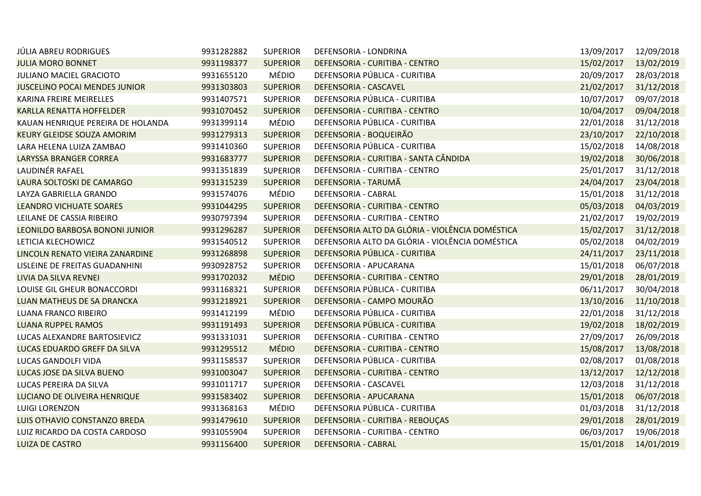| JÚLIA ABREU RODRIGUES                | 9931282882 | <b>SUPERIOR</b> | DEFENSORIA - LONDRINA                           | 13/09/2017 | 12/09/2018 |
|--------------------------------------|------------|-----------------|-------------------------------------------------|------------|------------|
| <b>JULIA MORO BONNET</b>             | 9931198377 | <b>SUPERIOR</b> | DEFENSORIA - CURITIBA - CENTRO                  | 15/02/2017 | 13/02/2019 |
| <b>JULIANO MACIEL GRACIOTO</b>       | 9931655120 | <b>MÉDIO</b>    | DEFENSORIA PÚBLICA - CURITIBA                   | 20/09/2017 | 28/03/2018 |
| <b>JUSCELINO POCAI MENDES JUNIOR</b> | 9931303803 | <b>SUPERIOR</b> | DEFENSORIA - CASCAVEL                           | 21/02/2017 | 31/12/2018 |
| KARINA FREIRE MEIRELLES              | 9931407571 | <b>SUPERIOR</b> | DEFENSORIA PÚBLICA - CURITIBA                   | 10/07/2017 | 09/07/2018 |
| KARLLA RENATTA HOFFELDER             | 9931070452 | <b>SUPERIOR</b> | DEFENSORIA - CURITIBA - CENTRO                  | 10/04/2017 | 09/04/2018 |
| KAUAN HENRIQUE PEREIRA DE HOLANDA    | 9931399114 | MÉDIO           | DEFENSORIA PÚBLICA - CURITIBA                   | 22/01/2018 | 31/12/2018 |
| KEURY GLEIDSE SOUZA AMORIM           | 9931279313 | <b>SUPERIOR</b> | DEFENSORIA - BOQUEIRÃO                          | 23/10/2017 | 22/10/2018 |
| LARA HELENA LUIZA ZAMBAO             | 9931410360 | <b>SUPERIOR</b> | DEFENSORIA PÚBLICA - CURITIBA                   | 15/02/2018 | 14/08/2018 |
| <b>LARYSSA BRANGER CORREA</b>        | 9931683777 | <b>SUPERIOR</b> | DEFENSORIA - CURITIBA - SANTA CÂNDIDA           | 19/02/2018 | 30/06/2018 |
| LAUDINÉR RAFAEL                      | 9931351839 | <b>SUPERIOR</b> | DEFENSORIA - CURITIBA - CENTRO                  | 25/01/2017 | 31/12/2018 |
| LAURA SOLTOSKI DE CAMARGO            | 9931315239 | <b>SUPERIOR</b> | DEFENSORIA - TARUMÃ                             | 24/04/2017 | 23/04/2018 |
| LAYZA GABRIELLA GRANDO               | 9931574076 | <b>MÉDIO</b>    | DEFENSORIA - CABRAL                             | 15/01/2018 | 31/12/2018 |
| <b>LEANDRO VICHUATE SOARES</b>       | 9931044295 | <b>SUPERIOR</b> | DEFENSORIA - CURITIBA - CENTRO                  | 05/03/2018 | 04/03/2019 |
| LEILANE DE CASSIA RIBEIRO            | 9930797394 | <b>SUPERIOR</b> | DEFENSORIA - CURITIBA - CENTRO                  | 21/02/2017 | 19/02/2019 |
| LEONILDO BARBOSA BONONI JUNIOR       | 9931296287 | <b>SUPERIOR</b> | DEFENSORIA ALTO DA GLÓRIA - VIOLÊNCIA DOMÉSTICA | 15/02/2017 | 31/12/2018 |
| LETICIA KLECHOWICZ                   | 9931540512 | <b>SUPERIOR</b> | DEFENSORIA ALTO DA GLÓRIA - VIOLÊNCIA DOMÉSTICA | 05/02/2018 | 04/02/2019 |
| LINCOLN RENATO VIEIRA ZANARDINE      | 9931268898 | <b>SUPERIOR</b> | DEFENSORIA PÚBLICA - CURITIBA                   | 24/11/2017 | 23/11/2018 |
| LISLEINE DE FREITAS GUADANHINI       | 9930928752 | <b>SUPERIOR</b> | DEFENSORIA - APUCARANA                          | 15/01/2018 | 06/07/2018 |
| LIVIA DA SILVA REVNEI                | 9931702032 | <b>MÉDIO</b>    | DEFENSORIA - CURITIBA - CENTRO                  | 29/01/2018 | 28/01/2019 |
| LOUISE GIL GHEUR BONACCORDI          | 9931168321 | <b>SUPERIOR</b> | DEFENSORIA PÚBLICA - CURITIBA                   | 06/11/2017 | 30/04/2018 |
| LUAN MATHEUS DE SA DRANCKA           | 9931218921 | <b>SUPERIOR</b> | DEFENSORIA - CAMPO MOURÃO                       | 13/10/2016 | 11/10/2018 |
| LUANA FRANCO RIBEIRO                 | 9931412199 | MÉDIO           | DEFENSORIA PÚBLICA - CURITIBA                   | 22/01/2018 | 31/12/2018 |
| <b>LUANA RUPPEL RAMOS</b>            | 9931191493 | <b>SUPERIOR</b> | DEFENSORIA PÚBLICA - CURITIBA                   | 19/02/2018 | 18/02/2019 |
| LUCAS ALEXANDRE BARTOSIEVICZ         | 9931331031 | <b>SUPERIOR</b> | DEFENSORIA - CURITIBA - CENTRO                  | 27/09/2017 | 26/09/2018 |
| LUCAS EDUARDO GREFF DA SILVA         | 9931295512 | <b>MÉDIO</b>    | DEFENSORIA - CURITIBA - CENTRO                  | 15/08/2017 | 13/08/2018 |
| LUCAS GANDOLFI VIDA                  | 9931158537 | <b>SUPERIOR</b> | DEFENSORIA PÚBLICA - CURITIBA                   | 02/08/2017 | 01/08/2018 |
| LUCAS JOSE DA SILVA BUENO            | 9931003047 | <b>SUPERIOR</b> | DEFENSORIA - CURITIBA - CENTRO                  | 13/12/2017 | 12/12/2018 |
| LUCAS PEREIRA DA SILVA               | 9931011717 | <b>SUPERIOR</b> | DEFENSORIA - CASCAVEL                           | 12/03/2018 | 31/12/2018 |
| LUCIANO DE OLIVEIRA HENRIQUE         | 9931583402 | <b>SUPERIOR</b> | DEFENSORIA - APUCARANA                          | 15/01/2018 | 06/07/2018 |
| <b>LUIGI LORENZON</b>                | 9931368163 | MÉDIO           | DEFENSORIA PÚBLICA - CURITIBA                   | 01/03/2018 | 31/12/2018 |
| LUIS OTHAVIO CONSTANZO BREDA         | 9931479610 | <b>SUPERIOR</b> | DEFENSORIA - CURITIBA - REBOUÇAS                | 29/01/2018 | 28/01/2019 |
| LUIZ RICARDO DA COSTA CARDOSO        | 9931055904 | <b>SUPERIOR</b> | DEFENSORIA - CURITIBA - CENTRO                  | 06/03/2017 | 19/06/2018 |
| <b>LUIZA DE CASTRO</b>               | 9931156400 | <b>SUPERIOR</b> | <b>DEFENSORIA - CABRAL</b>                      | 15/01/2018 | 14/01/2019 |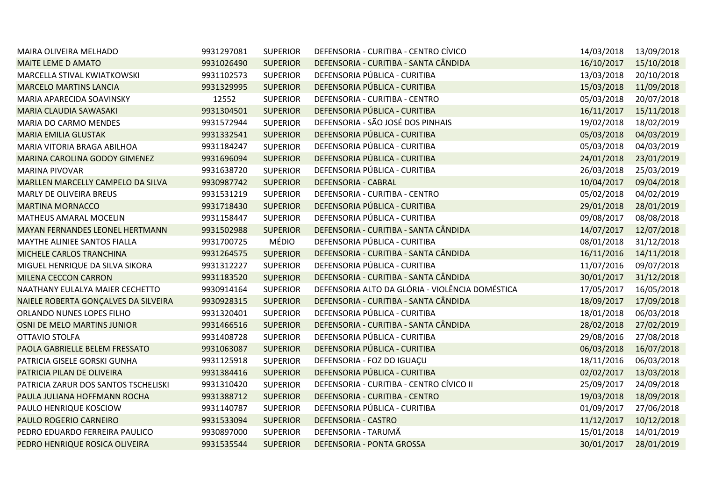| MAIRA OLIVEIRA MELHADO               | 9931297081 | <b>SUPERIOR</b> | DEFENSORIA - CURITIBA - CENTRO CÍVICO           | 14/03/2018 | 13/09/2018 |
|--------------------------------------|------------|-----------------|-------------------------------------------------|------------|------------|
| <b>MAITE LEME D AMATO</b>            | 9931026490 | <b>SUPERIOR</b> | DEFENSORIA - CURITIBA - SANTA CÂNDIDA           | 16/10/2017 | 15/10/2018 |
| MARCELLA STIVAL KWIATKOWSKI          | 9931102573 | <b>SUPERIOR</b> | DEFENSORIA PÚBLICA - CURITIBA                   | 13/03/2018 | 20/10/2018 |
| <b>MARCELO MARTINS LANCIA</b>        | 9931329995 | <b>SUPERIOR</b> | DEFENSORIA PÚBLICA - CURITIBA                   | 15/03/2018 | 11/09/2018 |
| MARIA APARECIDA SOAVINSKY            | 12552      | <b>SUPERIOR</b> | DEFENSORIA - CURITIBA - CENTRO                  | 05/03/2018 | 20/07/2018 |
| MARIA CLAUDIA SAWASAKI               | 9931304501 | <b>SUPERIOR</b> | DEFENSORIA PÚBLICA - CURITIBA                   | 16/11/2017 | 15/11/2018 |
| MARIA DO CARMO MENDES                | 9931572944 | <b>SUPERIOR</b> | DEFENSORIA - SÃO JOSÉ DOS PINHAIS               | 19/02/2018 | 18/02/2019 |
| <b>MARIA EMILIA GLUSTAK</b>          | 9931332541 | <b>SUPERIOR</b> | DEFENSORIA PÚBLICA - CURITIBA                   | 05/03/2018 | 04/03/2019 |
| MARIA VITORIA BRAGA ABILHOA          | 9931184247 | <b>SUPERIOR</b> | DEFENSORIA PÚBLICA - CURITIBA                   | 05/03/2018 | 04/03/2019 |
| MARINA CAROLINA GODOY GIMENEZ        | 9931696094 | <b>SUPERIOR</b> | DEFENSORIA PÚBLICA - CURITIBA                   | 24/01/2018 | 23/01/2019 |
| MARINA PIVOVAR                       | 9931638720 | <b>SUPERIOR</b> | DEFENSORIA PÚBLICA - CURITIBA                   | 26/03/2018 | 25/03/2019 |
| MARLLEN MARCELLY CAMPELO DA SILVA    | 9930987742 | <b>SUPERIOR</b> | DEFENSORIA - CABRAL                             | 10/04/2017 | 09/04/2018 |
| MARLY DE OLIVEIRA BREUS              | 9931531219 | <b>SUPERIOR</b> | DEFENSORIA - CURITIBA - CENTRO                  | 05/02/2018 | 04/02/2019 |
| <b>MARTINA MORNACCO</b>              | 9931718430 | <b>SUPERIOR</b> | DEFENSORIA PÚBLICA - CURITIBA                   | 29/01/2018 | 28/01/2019 |
| MATHEUS AMARAL MOCELIN               | 9931158447 | <b>SUPERIOR</b> | DEFENSORIA PÚBLICA - CURITIBA                   | 09/08/2017 | 08/08/2018 |
| MAYAN FERNANDES LEONEL HERTMANN      | 9931502988 | <b>SUPERIOR</b> | DEFENSORIA - CURITIBA - SANTA CÂNDIDA           | 14/07/2017 | 12/07/2018 |
| MAYTHE ALINIEE SANTOS FIALLA         | 9931700725 | MÉDIO           | DEFENSORIA PÚBLICA - CURITIBA                   | 08/01/2018 | 31/12/2018 |
| MICHELE CARLOS TRANCHINA             | 9931264575 | <b>SUPERIOR</b> | DEFENSORIA - CURITIBA - SANTA CÂNDIDA           | 16/11/2016 | 14/11/2018 |
| MIGUEL HENRIQUE DA SILVA SIKORA      | 9931312227 | <b>SUPERIOR</b> | DEFENSORIA PÚBLICA - CURITIBA                   | 11/07/2016 | 09/07/2018 |
| <b>MILENA CECCON CARRON</b>          | 9931183520 | <b>SUPERIOR</b> | DEFENSORIA - CURITIBA - SANTA CÂNDIDA           | 30/01/2017 | 31/12/2018 |
| NAATHANY EULALYA MAIER CECHETTO      | 9930914164 | <b>SUPERIOR</b> | DEFENSORIA ALTO DA GLÓRIA - VIOLÊNCIA DOMÉSTICA | 17/05/2017 | 16/05/2018 |
| NAIELE ROBERTA GONÇALVES DA SILVEIRA | 9930928315 | <b>SUPERIOR</b> | DEFENSORIA - CURITIBA - SANTA CÂNDIDA           | 18/09/2017 | 17/09/2018 |
| ORLANDO NUNES LOPES FILHO            | 9931320401 | <b>SUPERIOR</b> | DEFENSORIA PÚBLICA - CURITIBA                   | 18/01/2018 | 06/03/2018 |
| OSNI DE MELO MARTINS JUNIOR          | 9931466516 | <b>SUPERIOR</b> | DEFENSORIA - CURITIBA - SANTA CÂNDIDA           | 28/02/2018 | 27/02/2019 |
| OTTAVIO STOLFA                       | 9931408728 | <b>SUPERIOR</b> | DEFENSORIA PÚBLICA - CURITIBA                   | 29/08/2016 | 27/08/2018 |
| PAOLA GABRIELLE BELEM FRESSATO       | 9931063087 | <b>SUPERIOR</b> | DEFENSORIA PÚBLICA - CURITIBA                   | 06/03/2018 | 16/07/2018 |
| PATRICIA GISELE GORSKI GUNHA         | 9931125918 | <b>SUPERIOR</b> | DEFENSORIA - FOZ DO IGUAÇU                      | 18/11/2016 | 06/03/2018 |
| PATRICIA PILAN DE OLIVEIRA           | 9931384416 | <b>SUPERIOR</b> | DEFENSORIA PÚBLICA - CURITIBA                   | 02/02/2017 | 13/03/2018 |
| PATRICIA ZARUR DOS SANTOS TSCHELISKI | 9931310420 | <b>SUPERIOR</b> | DEFENSORIA - CURITIBA - CENTRO CÍVICO II        | 25/09/2017 | 24/09/2018 |
| PAULA JULIANA HOFFMANN ROCHA         | 9931388712 | <b>SUPERIOR</b> | DEFENSORIA - CURITIBA - CENTRO                  | 19/03/2018 | 18/09/2018 |
| PAULO HENRIQUE KOSCIOW               | 9931140787 | <b>SUPERIOR</b> | DEFENSORIA PÚBLICA - CURITIBA                   | 01/09/2017 | 27/06/2018 |
| PAULO ROGERIO CARNEIRO               | 9931533094 | <b>SUPERIOR</b> | <b>DEFENSORIA - CASTRO</b>                      | 11/12/2017 | 10/12/2018 |
| PEDRO EDUARDO FERREIRA PAULICO       | 9930897000 | <b>SUPERIOR</b> | DEFENSORIA - TARUMÃ                             | 15/01/2018 | 14/01/2019 |
| PEDRO HENRIQUE ROSICA OLIVEIRA       | 9931535544 | <b>SUPERIOR</b> | DEFENSORIA - PONTA GROSSA                       | 30/01/2017 | 28/01/2019 |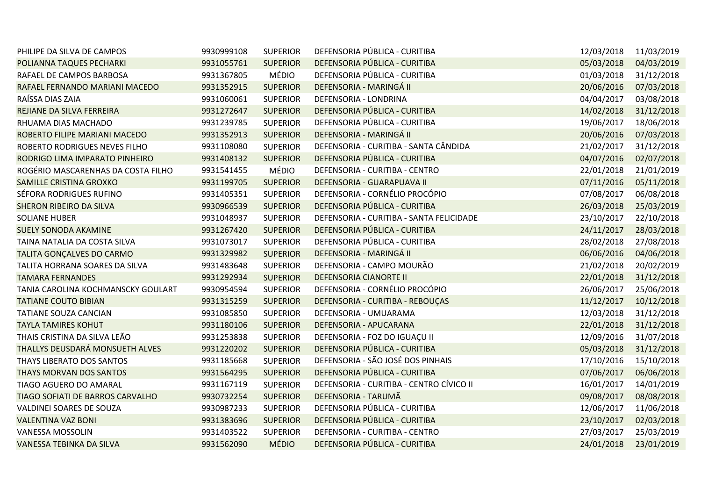| PHILIPE DA SILVA DE CAMPOS         | 9930999108 | <b>SUPERIOR</b> | DEFENSORIA PÚBLICA - CURITIBA            | 12/03/2018 | 11/03/2019 |
|------------------------------------|------------|-----------------|------------------------------------------|------------|------------|
| POLIANNA TAQUES PECHARKI           | 9931055761 | <b>SUPERIOR</b> | DEFENSORIA PÚBLICA - CURITIBA            | 05/03/2018 | 04/03/2019 |
| RAFAEL DE CAMPOS BARBOSA           | 9931367805 | <b>MÉDIO</b>    | DEFENSORIA PÚBLICA - CURITIBA            | 01/03/2018 | 31/12/2018 |
| RAFAEL FERNANDO MARIANI MACEDO     | 9931352915 | <b>SUPERIOR</b> | DEFENSORIA - MARINGÁ II                  | 20/06/2016 | 07/03/2018 |
| RAÍSSA DIAS ZAIA                   | 9931060061 | <b>SUPERIOR</b> | DEFENSORIA - LONDRINA                    | 04/04/2017 | 03/08/2018 |
| REJIANE DA SILVA FERREIRA          | 9931272647 | <b>SUPERIOR</b> | DEFENSORIA PÚBLICA - CURITIBA            | 14/02/2018 | 31/12/2018 |
| RHUAMA DIAS MACHADO                | 9931239785 | <b>SUPERIOR</b> | DEFENSORIA PÚBLICA - CURITIBA            | 19/06/2017 | 18/06/2018 |
| ROBERTO FILIPE MARIANI MACEDO      | 9931352913 | <b>SUPERIOR</b> | DEFENSORIA - MARINGÁ II                  | 20/06/2016 | 07/03/2018 |
| ROBERTO RODRIGUES NEVES FILHO      | 9931108080 | <b>SUPERIOR</b> | DEFENSORIA - CURITIBA - SANTA CÂNDIDA    | 21/02/2017 | 31/12/2018 |
| RODRIGO LIMA IMPARATO PINHEIRO     | 9931408132 | <b>SUPERIOR</b> | DEFENSORIA PÚBLICA - CURITIBA            | 04/07/2016 | 02/07/2018 |
| ROGÉRIO MASCARENHAS DA COSTA FILHO | 9931541455 | MÉDIO           | DEFENSORIA - CURITIBA - CENTRO           | 22/01/2018 | 21/01/2019 |
| <b>SAMILLE CRISTINA GROXKO</b>     | 9931199705 | <b>SUPERIOR</b> | DEFENSORIA - GUARAPUAVA II               | 07/11/2016 | 05/11/2018 |
| SÉFORA RODRIGUES RUFINO            | 9931405351 | <b>SUPERIOR</b> | DEFENSORIA - CORNÉLIO PROCÓPIO           | 07/08/2017 | 06/08/2018 |
| SHERON RIBEIRO DA SILVA            | 9930966539 | <b>SUPERIOR</b> | DEFENSORIA PÚBLICA - CURITIBA            | 26/03/2018 | 25/03/2019 |
| <b>SOLIANE HUBER</b>               | 9931048937 | <b>SUPERIOR</b> | DEFENSORIA - CURITIBA - SANTA FELICIDADE | 23/10/2017 | 22/10/2018 |
| <b>SUELY SONODA AKAMINE</b>        | 9931267420 | <b>SUPERIOR</b> | DEFENSORIA PÚBLICA - CURITIBA            | 24/11/2017 | 28/03/2018 |
| TAINA NATALIA DA COSTA SILVA       | 9931073017 | <b>SUPERIOR</b> | DEFENSORIA PÚBLICA - CURITIBA            | 28/02/2018 | 27/08/2018 |
| TALITA GONÇALVES DO CARMO          | 9931329982 | <b>SUPERIOR</b> | DEFENSORIA - MARINGÁ II                  | 06/06/2016 | 04/06/2018 |
| TALITA HORRANA SOARES DA SILVA     | 9931483648 | <b>SUPERIOR</b> | DEFENSORIA - CAMPO MOURÃO                | 21/02/2018 | 20/02/2019 |
| <b>TAMARA FERNANDES</b>            | 9931292934 | <b>SUPERIOR</b> | <b>DEFENSORIA CIANORTE II</b>            | 22/01/2018 | 31/12/2018 |
| TANIA CAROLINA KOCHMANSCKY GOULART | 9930954594 | <b>SUPERIOR</b> | DEFENSORIA - CORNÉLIO PROCÓPIO           | 26/06/2017 | 25/06/2018 |
| <b>TATIANE COUTO BIBIAN</b>        | 9931315259 | <b>SUPERIOR</b> | DEFENSORIA - CURITIBA - REBOUÇAS         | 11/12/2017 | 10/12/2018 |
| TATIANE SOUZA CANCIAN              | 9931085850 | <b>SUPERIOR</b> | DEFENSORIA - UMUARAMA                    | 12/03/2018 | 31/12/2018 |
| <b>TAYLA TAMIRES KOHUT</b>         | 9931180106 | <b>SUPERIOR</b> | DEFENSORIA - APUCARANA                   | 22/01/2018 | 31/12/2018 |
| THAIS CRISTINA DA SILVA LEÃO       | 9931253838 | <b>SUPERIOR</b> | DEFENSORIA - FOZ DO IGUAÇU II            | 12/09/2016 | 31/07/2018 |
| THALLYS DEUSDARÁ MONSUETH ALVES    | 9931220202 | <b>SUPERIOR</b> | DEFENSORIA PÚBLICA - CURITIBA            | 05/03/2018 | 31/12/2018 |
| THAYS LIBERATO DOS SANTOS          | 9931185668 | <b>SUPERIOR</b> | DEFENSORIA - SÃO JOSÉ DOS PINHAIS        | 17/10/2016 | 15/10/2018 |
| <b>THAYS MORVAN DOS SANTOS</b>     | 9931564295 | <b>SUPERIOR</b> | DEFENSORIA PÚBLICA - CURITIBA            | 07/06/2017 | 06/06/2018 |
| TIAGO AGUERO DO AMARAL             | 9931167119 | <b>SUPERIOR</b> | DEFENSORIA - CURITIBA - CENTRO CÍVICO II | 16/01/2017 | 14/01/2019 |
| TIAGO SOFIATI DE BARROS CARVALHO   | 9930732254 | <b>SUPERIOR</b> | DEFENSORIA - TARUMÃ                      | 09/08/2017 | 08/08/2018 |
| VALDINEI SOARES DE SOUZA           | 9930987233 | <b>SUPERIOR</b> | DEFENSORIA PÚBLICA - CURITIBA            | 12/06/2017 | 11/06/2018 |
| <b>VALENTINA VAZ BONI</b>          | 9931383696 | <b>SUPERIOR</b> | DEFENSORIA PÚBLICA - CURITIBA            | 23/10/2017 | 02/03/2018 |
| <b>VANESSA MOSSOLIN</b>            | 9931403522 | <b>SUPERIOR</b> | DEFENSORIA - CURITIBA - CENTRO           | 27/03/2017 | 25/03/2019 |
| VANESSA TEBINKA DA SILVA           | 9931562090 | <b>MÉDIO</b>    | DEFENSORIA PÚBLICA - CURITIBA            | 24/01/2018 | 23/01/2019 |